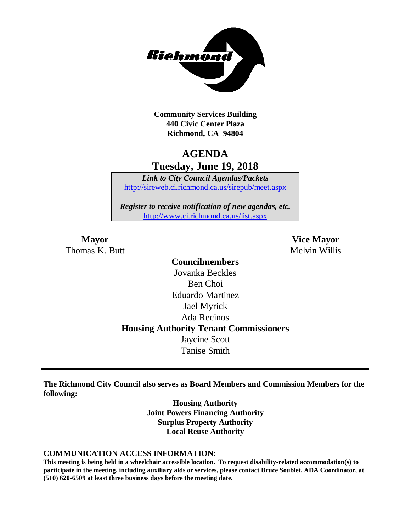

**Community Services Building 440 Civic Center Plaza Richmond, CA 94804**

## **AGENDA Tuesday, June 19, 2018**

*Link to City Council Agendas/Packets* <http://sireweb.ci.richmond.ca.us/sirepub/meet.aspx>

*Register to receive notification of new agendas, etc.* <http://www.ci.richmond.ca.us/list.aspx>

Thomas K. Butt Melvin Willis

**Mayor Vice Mayor**

## **Councilmembers** Jovanka Beckles Ben Choi Eduardo Martinez Jael Myrick Ada Recinos **Housing Authority Tenant Commissioners** Jaycine Scott Tanise Smith

**The Richmond City Council also serves as Board Members and Commission Members for the following:**

> **Housing Authority Joint Powers Financing Authority Surplus Property Authority Local Reuse Authority**

#### **COMMUNICATION ACCESS INFORMATION:**

**This meeting is being held in a wheelchair accessible location. To request disability-related accommodation(s) to participate in the meeting, including auxiliary aids or services, please contact Bruce Soublet, ADA Coordinator, at (510) 620-6509 at least three business days before the meeting date.**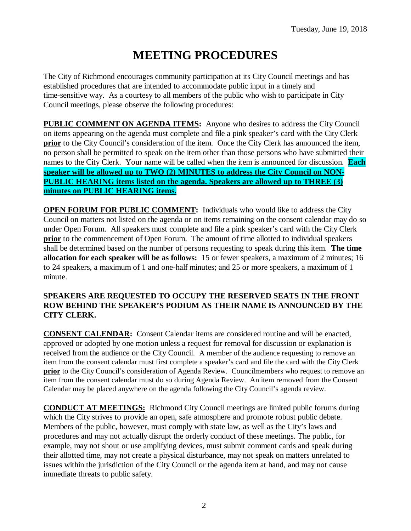# **MEETING PROCEDURES**

The City of Richmond encourages community participation at its City Council meetings and has established procedures that are intended to accommodate public input in a timely and time-sensitive way. As a courtesy to all members of the public who wish to participate in City Council meetings, please observe the following procedures:

**PUBLIC COMMENT ON AGENDA ITEMS:** Anyone who desires to address the City Council on items appearing on the agenda must complete and file a pink speaker's card with the City Clerk **prior** to the City Council's consideration of the item. Once the City Clerk has announced the item, no person shall be permitted to speak on the item other than those persons who have submitted their names to the City Clerk. Your name will be called when the item is announced for discussion. **Each speaker will be allowed up to TWO (2) MINUTES to address the City Council on NON-PUBLIC HEARING items listed on the agenda. Speakers are allowed up to THREE (3) minutes on PUBLIC HEARING items.**

**OPEN FORUM FOR PUBLIC COMMENT:** Individuals who would like to address the City Council on matters not listed on the agenda or on items remaining on the consent calendar may do so under Open Forum. All speakers must complete and file a pink speaker's card with the City Clerk **prior** to the commencement of Open Forum. The amount of time allotted to individual speakers shall be determined based on the number of persons requesting to speak during this item. **The time allocation for each speaker will be as follows:** 15 or fewer speakers, a maximum of 2 minutes; 16 to 24 speakers, a maximum of 1 and one-half minutes; and 25 or more speakers, a maximum of 1 minute.

## **SPEAKERS ARE REQUESTED TO OCCUPY THE RESERVED SEATS IN THE FRONT ROW BEHIND THE SPEAKER'S PODIUM AS THEIR NAME IS ANNOUNCED BY THE CITY CLERK.**

**CONSENT CALENDAR:** Consent Calendar items are considered routine and will be enacted, approved or adopted by one motion unless a request for removal for discussion or explanation is received from the audience or the City Council. A member of the audience requesting to remove an item from the consent calendar must first complete a speaker's card and file the card with the City Clerk **prior** to the City Council's consideration of Agenda Review. Councilmembers who request to remove an item from the consent calendar must do so during Agenda Review. An item removed from the Consent Calendar may be placed anywhere on the agenda following the City Council's agenda review.

**CONDUCT AT MEETINGS:** Richmond City Council meetings are limited public forums during which the City strives to provide an open, safe atmosphere and promote robust public debate. Members of the public, however, must comply with state law, as well as the City's laws and procedures and may not actually disrupt the orderly conduct of these meetings. The public, for example, may not shout or use amplifying devices, must submit comment cards and speak during their allotted time, may not create a physical disturbance, may not speak on matters unrelated to issues within the jurisdiction of the City Council or the agenda item at hand, and may not cause immediate threats to public safety.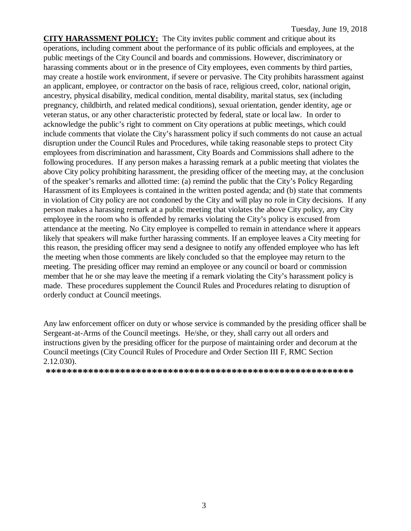**CITY HARASSMENT POLICY:** The City invites public comment and critique about its operations, including comment about the performance of its public officials and employees, at the public meetings of the City Council and boards and commissions. However, discriminatory or harassing comments about or in the presence of City employees, even comments by third parties, may create a hostile work environment, if severe or pervasive. The City prohibits harassment against an applicant, employee, or contractor on the basis of race, religious creed, color, national origin, ancestry, physical disability, medical condition, mental disability, marital status, sex (including pregnancy, childbirth, and related medical conditions), sexual orientation, gender identity, age or veteran status, or any other characteristic protected by federal, state or local law. In order to acknowledge the public's right to comment on City operations at public meetings, which could include comments that violate the City's harassment policy if such comments do not cause an actual disruption under the Council Rules and Procedures, while taking reasonable steps to protect City employees from discrimination and harassment, City Boards and Commissions shall adhere to the following procedures. If any person makes a harassing remark at a public meeting that violates the above City policy prohibiting harassment, the presiding officer of the meeting may, at the conclusion of the speaker's remarks and allotted time: (a) remind the public that the City's Policy Regarding Harassment of its Employees is contained in the written posted agenda; and (b) state that comments in violation of City policy are not condoned by the City and will play no role in City decisions. If any person makes a harassing remark at a public meeting that violates the above City policy, any City employee in the room who is offended by remarks violating the City's policy is excused from attendance at the meeting. No City employee is compelled to remain in attendance where it appears likely that speakers will make further harassing comments. If an employee leaves a City meeting for this reason, the presiding officer may send a designee to notify any offended employee who has left the meeting when those comments are likely concluded so that the employee may return to the meeting. The presiding officer may remind an employee or any council or board or commission member that he or she may leave the meeting if a remark violating the City's harassment policy is made. These procedures supplement the Council Rules and Procedures relating to disruption of orderly conduct at Council meetings.

Any law enforcement officer on duty or whose service is commanded by the presiding officer shall be Sergeant-at-Arms of the Council meetings. He/she, or they, shall carry out all orders and instructions given by the presiding officer for the purpose of maintaining order and decorum at the Council meetings (City Council Rules of Procedure and Order Section III F, RMC Section 2.12.030).

**\*\*\*\*\*\*\*\*\*\*\*\*\*\*\*\*\*\*\*\*\*\*\*\*\*\*\*\*\*\*\*\*\*\*\*\*\*\*\*\*\*\*\*\*\*\*\*\*\*\*\*\*\*\*\*\*\*\***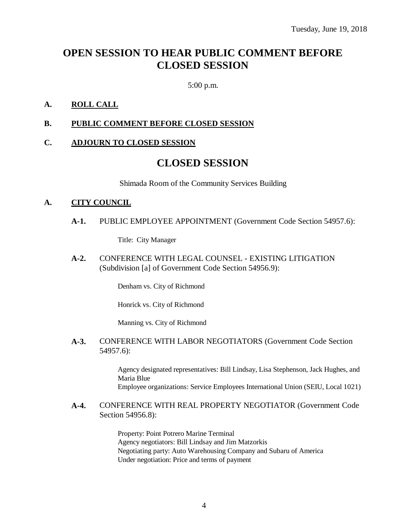## **OPEN SESSION TO HEAR PUBLIC COMMENT BEFORE CLOSED SESSION**

5:00 p.m.

## **A. ROLL CALL**

### **B. PUBLIC COMMENT BEFORE CLOSED SESSION**

### **C. ADJOURN TO CLOSED SESSION**

## **CLOSED SESSION**

Shimada Room of the Community Services Building

#### **A. CITY COUNCIL**

**A-1.** PUBLIC EMPLOYEE APPOINTMENT (Government Code Section 54957.6):

Title: City Manager

**A-2.** CONFERENCE WITH LEGAL COUNSEL - EXISTING LITIGATION (Subdivision [a] of Government Code Section 54956.9):

Denham vs. City of Richmond

Honrick vs. City of Richmond

Manning vs. City of Richmond

**A-3.** CONFERENCE WITH LABOR NEGOTIATORS (Government Code Section 54957.6):

> Agency designated representatives: Bill Lindsay, Lisa Stephenson, Jack Hughes, and Maria Blue Employee organizations: Service Employees International Union (SEIU, Local 1021)

**A-4.** CONFERENCE WITH REAL PROPERTY NEGOTIATOR (Government Code Section 54956.8):

> Property: Point Potrero Marine Terminal Agency negotiators: Bill Lindsay and Jim Matzorkis Negotiating party: Auto Warehousing Company and Subaru of America Under negotiation: Price and terms of payment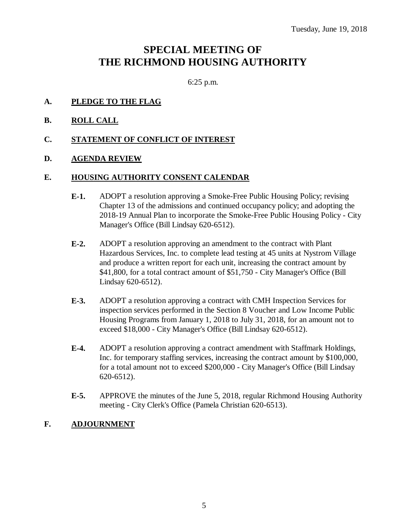## **SPECIAL MEETING OF THE RICHMOND HOUSING AUTHORITY**

6:25 p.m.

### **A. PLEDGE TO THE FLAG**

**B. ROLL CALL**

### **C. STATEMENT OF CONFLICT OF INTEREST**

### **D. AGENDA REVIEW**

#### **E. HOUSING AUTHORITY CONSENT CALENDAR**

- **E-1.** ADOPT a resolution approving a Smoke-Free Public Housing Policy; revising Chapter 13 of the admissions and continued occupancy policy; and adopting the 2018-19 Annual Plan to incorporate the Smoke-Free Public Housing Policy - City Manager's Office (Bill Lindsay 620-6512).
- **E-2.** ADOPT a resolution approving an amendment to the contract with Plant Hazardous Services, Inc. to complete lead testing at 45 units at Nystrom Village and produce a written report for each unit, increasing the contract amount by \$41,800, for a total contract amount of \$51,750 - City Manager's Office (Bill Lindsay 620-6512).
- **E-3.** ADOPT a resolution approving a contract with CMH Inspection Services for inspection services performed in the Section 8 Voucher and Low Income Public Housing Programs from January 1, 2018 to July 31, 2018, for an amount not to exceed \$18,000 - City Manager's Office (Bill Lindsay 620-6512).
- **E-4.** ADOPT a resolution approving a contract amendment with Staffmark Holdings, Inc. for temporary staffing services, increasing the contract amount by \$100,000, for a total amount not to exceed \$200,000 - City Manager's Office (Bill Lindsay 620-6512).
- **E-5.** APPROVE the minutes of the June 5, 2018, regular Richmond Housing Authority meeting - City Clerk's Office (Pamela Christian 620-6513).

#### **F. ADJOURNMENT**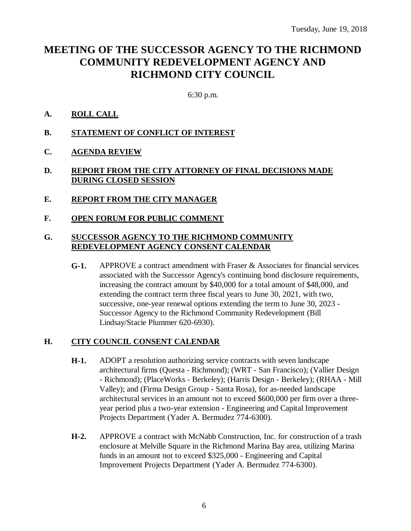## **MEETING OF THE SUCCESSOR AGENCY TO THE RICHMOND COMMUNITY REDEVELOPMENT AGENCY AND RICHMOND CITY COUNCIL**

6:30 p.m.

- **A. ROLL CALL**
- **B. STATEMENT OF CONFLICT OF INTEREST**
- **C. AGENDA REVIEW**
- **D. REPORT FROM THE CITY ATTORNEY OF FINAL DECISIONS MADE DURING CLOSED SESSION**
- **E. REPORT FROM THE CITY MANAGER**
- **F. OPEN FORUM FOR PUBLIC COMMENT**

## **G. SUCCESSOR AGENCY TO THE RICHMOND COMMUNITY REDEVELOPMENT AGENCY CONSENT CALENDAR**

**G-1.** APPROVE a contract amendment with Fraser & Associates for financial services associated with the Successor Agency's continuing bond disclosure requirements, increasing the contract amount by \$40,000 for a total amount of \$48,000, and extending the contract term three fiscal years to June 30, 2021, with two, successive, one-year renewal options extending the term to June 30, 2023 - Successor Agency to the Richmond Community Redevelopment (Bill Lindsay/Stacie Plummer 620-6930).

## **H. CITY COUNCIL CONSENT CALENDAR**

- **H-1.** ADOPT a resolution authorizing service contracts with seven landscape architectural firms (Questa - Richmond); (WRT - San Francisco); (Vallier Design - Richmond); (PlaceWorks - Berkeley); (Harris Design - Berkeley); (RHAA - Mill Valley); and (Firma Design Group - Santa Rosa), for as-needed landscape architectural services in an amount not to exceed \$600,000 per firm over a threeyear period plus a two-year extension - Engineering and Capital Improvement Projects Department (Yader A. Bermudez 774-6300).
- **H-2.** APPROVE a contract with McNabb Construction, Inc. for construction of a trash enclosure at Melville Square in the Richmond Marina Bay area, utilizing Marina funds in an amount not to exceed \$325,000 - Engineering and Capital Improvement Projects Department (Yader A. Bermudez 774-6300).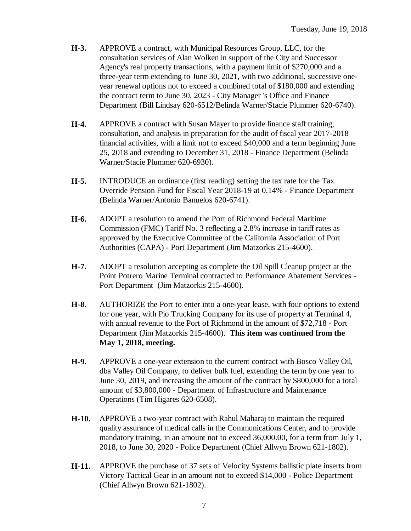- **H-3.** APPROVE a contract, with Municipal Resources Group, LLC, for the consultation services of Alan Wolken in support of the City and Successor Agency's real property transactions, with a payment limit of \$270,000 and a three-year term extending to June 30, 2021, with two additional, successive oneyear renewal options not to exceed a combined total of \$180,000 and extending the contract term to June 30, 2023 - City Manager 's Office and Finance Department (Bill Lindsay 620-6512/Belinda Warner/Stacie Plummer 620-6740).
- **H-4.** APPROVE a contract with Susan Mayer to provide finance staff training, consultation, and analysis in preparation for the audit of fiscal year 2017-2018 financial activities, with a limit not to exceed \$40,000 and a term beginning June 25, 2018 and extending to December 31, 2018 - Finance Department (Belinda Warner/Stacie Plummer 620-6930).
- **H-5.** INTRODUCE an ordinance (first reading) setting the tax rate for the Tax Override Pension Fund for Fiscal Year 2018-19 at 0.14% - Finance Department (Belinda Warner/Antonio Banuelos 620-6741).
- **H-6.** ADOPT a resolution to amend the Port of Richmond Federal Maritime Commission (FMC) Tariff No. 3 reflecting a 2.8% increase in tariff rates as approved by the Executive Committee of the California Association of Port Authorities (CAPA) - Port Department (Jim Matzorkis 215-4600).
- **H-7.** ADOPT a resolution accepting as complete the Oil Spill Cleanup project at the Point Potrero Marine Terminal contracted to Performance Abatement Services - Port Department (Jim Matzorkis 215-4600).
- **H-8.** AUTHORIZE the Port to enter into a one-year lease, with four options to extend for one year, with Pio Trucking Company for its use of property at Terminal 4, with annual revenue to the Port of Richmond in the amount of \$72,718 - Port Department (Jim Matzorkis 215-4600). **This item was continued from the May 1, 2018, meeting.**
- **H-9.** APPROVE a one-year extension to the current contract with Bosco Valley Oil, dba Valley Oil Company, to deliver bulk fuel, extending the term by one year to June 30, 2019, and increasing the amount of the contract by \$800,000 for a total amount of \$3,800,000 - Department of Infrastructure and Maintenance Operations (Tim Higares 620-6508).
- **H-10.** APPROVE a two-year contract with Rahul Maharaj to maintain the required quality assurance of medical calls in the Communications Center, and to provide mandatory training, in an amount not to exceed 36,000.00, for a term from July 1, 2018, to June 30, 2020 - Police Department (Chief Allwyn Brown 621-1802).
- **H-11.** APPROVE the purchase of 37 sets of Velocity Systems ballistic plate inserts from Victory Tactical Gear in an amount not to exceed \$14,000 - Police Department (Chief Allwyn Brown 621-1802).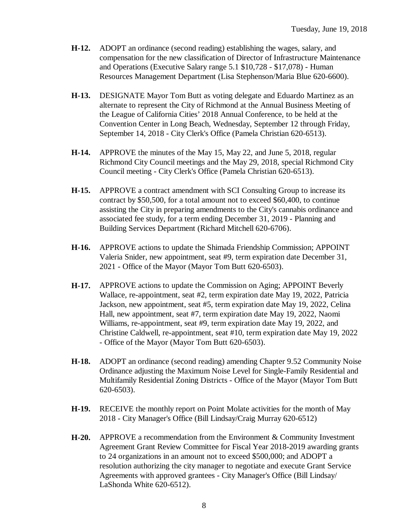- **H-12.** ADOPT an ordinance (second reading) establishing the wages, salary, and compensation for the new classification of Director of Infrastructure Maintenance and Operations (Executive Salary range 5.1 \$10,728 - \$17,078) - Human Resources Management Department (Lisa Stephenson/Maria Blue 620-6600).
- **H-13.** DESIGNATE Mayor Tom Butt as voting delegate and Eduardo Martinez as an alternate to represent the City of Richmond at the Annual Business Meeting of the League of California Cities' 2018 Annual Conference, to be held at the Convention Center in Long Beach, Wednesday, September 12 through Friday, September 14, 2018 - City Clerk's Office (Pamela Christian 620-6513).
- **H-14.** APPROVE the minutes of the May 15, May 22, and June 5, 2018, regular Richmond City Council meetings and the May 29, 2018, special Richmond City Council meeting - City Clerk's Office (Pamela Christian 620-6513).
- **H-15.** APPROVE a contract amendment with SCI Consulting Group to increase its contract by \$50,500, for a total amount not to exceed \$60,400, to continue assisting the City in preparing amendments to the City's cannabis ordinance and associated fee study, for a term ending December 31, 2019 - Planning and Building Services Department (Richard Mitchell 620-6706).
- **H-16.** APPROVE actions to update the Shimada Friendship Commission; APPOINT Valeria Snider, new appointment, seat #9, term expiration date December 31, 2021 - Office of the Mayor (Mayor Tom Butt 620-6503).
- **H-17.** APPROVE actions to update the Commission on Aging; APPOINT Beverly Wallace, re-appointment, seat #2, term expiration date May 19, 2022, Patricia Jackson, new appointment, seat #5, term expiration date May 19, 2022, Celina Hall, new appointment, seat #7, term expiration date May 19, 2022, Naomi Williams, re-appointment, seat #9, term expiration date May 19, 2022, and Christine Caldwell, re-appointment, seat #10, term expiration date May 19, 2022 - Office of the Mayor (Mayor Tom Butt 620-6503).
- **H-18.** ADOPT an ordinance (second reading) amending Chapter 9.52 Community Noise Ordinance adjusting the Maximum Noise Level for Single-Family Residential and Multifamily Residential Zoning Districts - Office of the Mayor (Mayor Tom Butt 620-6503).
- **H-19.** RECEIVE the monthly report on Point Molate activities for the month of May 2018 - City Manager's Office (Bill Lindsay/Craig Murray 620-6512)
- **H-20.** APPROVE a recommendation from the Environment & Community Investment Agreement Grant Review Committee for Fiscal Year 2018-2019 awarding grants to 24 organizations in an amount not to exceed \$500,000; and ADOPT a resolution authorizing the city manager to negotiate and execute Grant Service Agreements with approved grantees - City Manager's Office (Bill Lindsay/ LaShonda White 620-6512).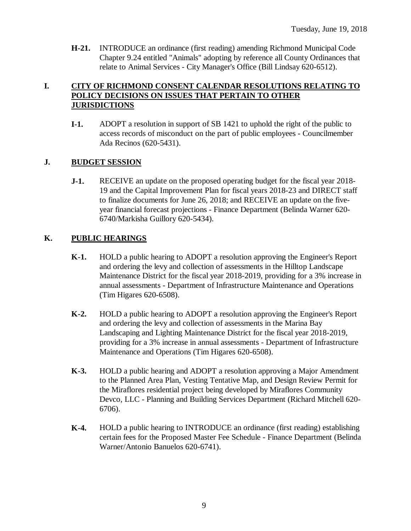**H-21.** INTRODUCE an ordinance (first reading) amending Richmond Municipal Code Chapter 9.24 entitled "Animals" adopting by reference all County Ordinances that relate to Animal Services - City Manager's Office (Bill Lindsay 620-6512).

## **I. CITY OF RICHMOND CONSENT CALENDAR RESOLUTIONS RELATING TO POLICY DECISIONS ON ISSUES THAT PERTAIN TO OTHER JURISDICTIONS**

**I-1.** ADOPT a resolution in support of SB 1421 to uphold the right of the public to access records of misconduct on the part of public employees - Councilmember Ada Recinos (620-5431).

## **J. BUDGET SESSION**

**J-1.** RECEIVE an update on the proposed operating budget for the fiscal year 2018- 19 and the Capital Improvement Plan for fiscal years 2018-23 and DIRECT staff to finalize documents for June 26, 2018; and RECEIVE an update on the fiveyear financial forecast projections - Finance Department (Belinda Warner 620- 6740/Markisha Guillory 620-5434).

## **K. PUBLIC HEARINGS**

- **K-1.** HOLD a public hearing to ADOPT a resolution approving the Engineer's Report and ordering the levy and collection of assessments in the Hilltop Landscape Maintenance District for the fiscal year 2018-2019, providing for a 3% increase in annual assessments - Department of Infrastructure Maintenance and Operations (Tim Higares 620-6508).
- **K-2.** HOLD a public hearing to ADOPT a resolution approving the Engineer's Report and ordering the levy and collection of assessments in the Marina Bay Landscaping and Lighting Maintenance District for the fiscal year 2018-2019, providing for a 3% increase in annual assessments - Department of Infrastructure Maintenance and Operations (Tim Higares 620-6508).
- **K-3.** HOLD a public hearing and ADOPT a resolution approving a Major Amendment to the Planned Area Plan, Vesting Tentative Map, and Design Review Permit for the Miraflores residential project being developed by Miraflores Community Devco, LLC - Planning and Building Services Department (Richard Mitchell 620- 6706).
- **K-4.** HOLD a public hearing to INTRODUCE an ordinance (first reading) establishing certain fees for the Proposed Master Fee Schedule - Finance Department (Belinda Warner/Antonio Banuelos 620-6741).